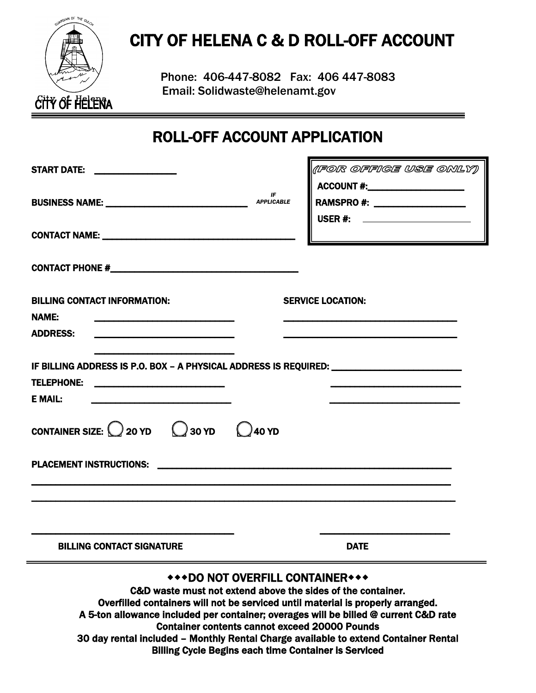

# CITY OF HELENA C & D ROLL-OFF ACCOUNT

Phone: 406-447-8082 Fax: 406 447-8083 Email: Solidwaste@helenamt.gov

# ROLL-OFF ACCOUNT APPLICATION

| START DATE: _________________                                                                                                                                                             |                         | (IFOR OFFIGE USE ONLY)                                                                                    |  |  |  |
|-------------------------------------------------------------------------------------------------------------------------------------------------------------------------------------------|-------------------------|-----------------------------------------------------------------------------------------------------------|--|--|--|
| BUSINESS NAME: NAME:                                                                                                                                                                      | IF<br><b>APPLICABLE</b> | $\textsf{ACCOUNT}\ \texttt{\#:}\n$<br>RAMSPRO #: ____________________<br>USER #: ________________________ |  |  |  |
|                                                                                                                                                                                           |                         |                                                                                                           |  |  |  |
|                                                                                                                                                                                           |                         |                                                                                                           |  |  |  |
| <b>BILLING CONTACT INFORMATION:</b><br><b>NAME:</b><br>the control of the control of the control of the control of the control of the control of<br><b>ADDRESS:</b>                       |                         | <b>SERVICE LOCATION:</b>                                                                                  |  |  |  |
| IF BILLING ADDRESS IS P.O. BOX - A PHYSICAL ADDRESS IS REQUIRED: ________________<br><b>TELEPHONE:</b><br><b>E MAIL:</b><br><u> 1989 - Paris Alexandria, primeira española (n. 1989).</u> |                         |                                                                                                           |  |  |  |
| CONTAINER SIZE: $\bigcirc$ 20 YD $\bigcirc$ 30 YD $\bigcirc$ 40 YD                                                                                                                        |                         |                                                                                                           |  |  |  |
|                                                                                                                                                                                           |                         |                                                                                                           |  |  |  |
|                                                                                                                                                                                           |                         |                                                                                                           |  |  |  |
| <b>BILLING CONTACT SIGNATURE</b>                                                                                                                                                          |                         | <b>DATE</b>                                                                                               |  |  |  |
| *** DO NOT OVERFILL CONTAINER***<br>C&D waste must not extend above the sides of the container.<br>Overfilled containers will not be serviced until material is properly arranged.        |                         |                                                                                                           |  |  |  |

A 5-ton allowance included per container; overages will be billed @ current C&D rate Container contents cannot exceed 20000 Pounds 30 day rental included – Monthly Rental Charge available to extend Container Rental Billing Cycle Begins each time Container is Serviced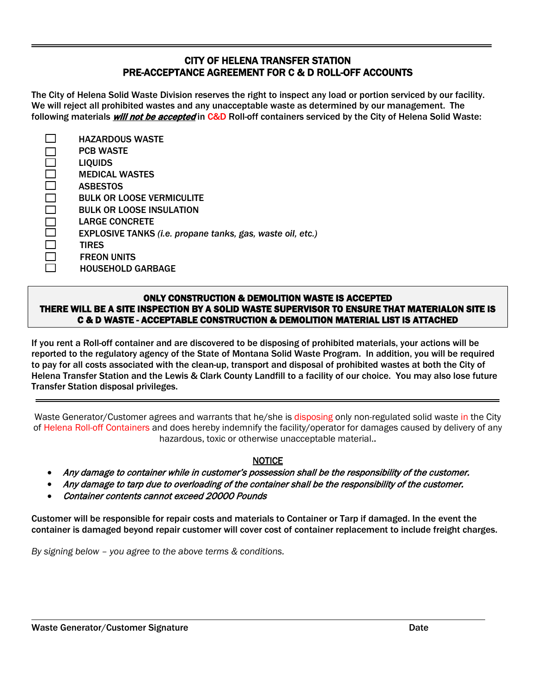## CITY OF HELENA TRANSFER STATION PRE-ACCEPTANCE AGREEMENT FOR C & D ROLL-OFF ACCOUNTS

The City of Helena Solid Waste Division reserves the right to inspect any load or portion serviced by our facility. We will reject all prohibited wastes and any unacceptable waste as determined by our management. The following materials *will not be accepted* in C&D Roll-off containers serviced by the City of Helena Solid Waste:

| <b>HAZARDOUS WASTE</b>                                     |
|------------------------------------------------------------|
| <b>PCB WASTE</b>                                           |
| <b>LIQUIDS</b>                                             |
| <b>MEDICAL WASTES</b>                                      |
| <b>ASBESTOS</b>                                            |
| <b>BULK OR LOOSE VERMICULITE</b>                           |
| <b>BULK OR LOOSE INSULATION</b>                            |
| <b>LARGE CONCRETE</b>                                      |
| EXPLOSIVE TANKS (i.e. propane tanks, gas, waste oil, etc.) |
| <b>TIRES</b>                                               |
| <b>FREON UNITS</b>                                         |
| <b>HOUSEHOLD GARBAGE</b>                                   |

#### ONLY CONSTRUCTION & DEMOLITION WASTE IS ACCEPTED THERE WILL BE A SITE INSPECTION BY A SOLID WASTE SUPERVISOR TO ENSURE THAT MATERIALON SITE IS C & D WASTE - ACCEPTABLE CONSTRUCTION & DEMOLITION MATERIAL LIST IS ATTACHED

If you rent a Roll-off container and are discovered to be disposing of prohibited materials, your actions will be reported to the regulatory agency of the State of Montana Solid Waste Program. In addition, you will be required to pay for all costs associated with the clean-up, transport and disposal of prohibited wastes at both the City of Helena Transfer Station and the Lewis & Clark County Landfill to a facility of our choice. You may also lose future Transfer Station disposal privileges.

Waste Generator/Customer agrees and warrants that he/she is disposing only non-regulated solid waste in the City of Helena Roll-off Containers and does hereby indemnify the facility/operator for damages caused by delivery of any hazardous, toxic or otherwise unacceptable material..

### **NOTICE**

- Any damage to container while in customer's possession shall be the responsibility of the customer.
- Any damage to tarp due to overloading of the container shall be the responsibility of the customer.
- Container contents cannot exceed 20000 Pounds

Customer will be responsible for repair costs and materials to Container or Tarp if damaged. In the event the container is damaged beyond repair customer will cover cost of container replacement to include freight charges.

*By signing below – you agree to the above terms & conditions.*